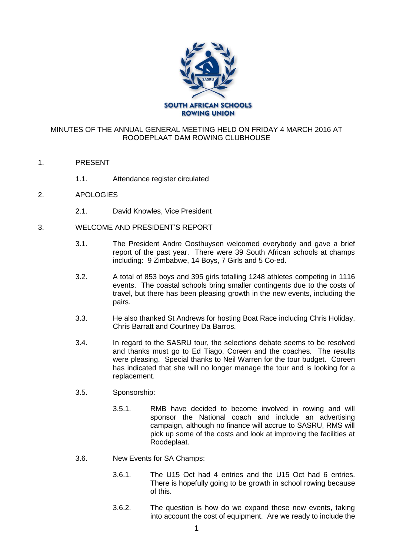

## MINUTES OF THE ANNUAL GENERAL MEETING HELD ON FRIDAY 4 MARCH 2016 AT ROODEPLAAT DAM ROWING CLUBHOUSE

- 1. PRESENT
	- 1.1. Attendance register circulated
- 2. APOLOGIES
	- 2.1. David Knowles, Vice President
- 3. WELCOME AND PRESIDENT'S REPORT
	- 3.1. The President Andre Oosthuysen welcomed everybody and gave a brief report of the past year. There were 39 South African schools at champs including: 9 Zimbabwe, 14 Boys, 7 Girls and 5 Co-ed.
	- 3.2. A total of 853 boys and 395 girls totalling 1248 athletes competing in 1116 events. The coastal schools bring smaller contingents due to the costs of travel, but there has been pleasing growth in the new events, including the pairs.
	- 3.3. He also thanked St Andrews for hosting Boat Race including Chris Holiday, Chris Barratt and Courtney Da Barros.
	- 3.4. In regard to the SASRU tour, the selections debate seems to be resolved and thanks must go to Ed Tiago, Coreen and the coaches. The results were pleasing. Special thanks to Neil Warren for the tour budget. Coreen has indicated that she will no longer manage the tour and is looking for a replacement.
	- 3.5. Sponsorship:
		- 3.5.1. RMB have decided to become involved in rowing and will sponsor the National coach and include an advertising campaign, although no finance will accrue to SASRU, RMS will pick up some of the costs and look at improving the facilities at Roodeplaat.

#### 3.6. New Events for SA Champs:

- 3.6.1. The U15 Oct had 4 entries and the U15 Oct had 6 entries. There is hopefully going to be growth in school rowing because of this.
- 3.6.2. The question is how do we expand these new events, taking into account the cost of equipment. Are we ready to include the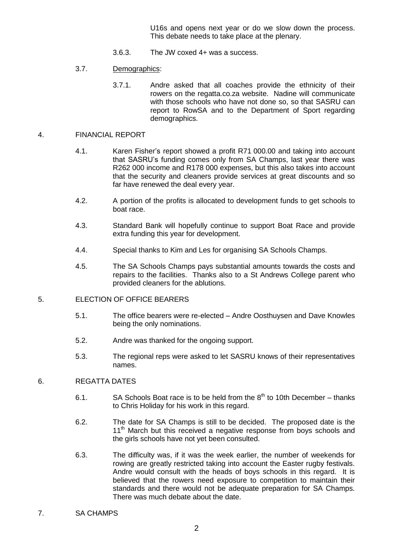U16s and opens next year or do we slow down the process. This debate needs to take place at the plenary.

- 3.6.3. The JW coxed 4+ was a success.
- 3.7. Demographics:
	- 3.7.1. Andre asked that all coaches provide the ethnicity of their rowers on the regatta.co.za website. Nadine will communicate with those schools who have not done so, so that SASRU can report to RowSA and to the Department of Sport regarding demographics.

#### 4. FINANCIAL REPORT

- 4.1. Karen Fisher's report showed a profit R71 000.00 and taking into account that SASRU's funding comes only from SA Champs, last year there was R262 000 income and R178 000 expenses, but this also takes into account that the security and cleaners provide services at great discounts and so far have renewed the deal every year.
- 4.2. A portion of the profits is allocated to development funds to get schools to boat race.
- 4.3. Standard Bank will hopefully continue to support Boat Race and provide extra funding this year for development.
- 4.4. Special thanks to Kim and Les for organising SA Schools Champs.
- 4.5. The SA Schools Champs pays substantial amounts towards the costs and repairs to the facilities. Thanks also to a St Andrews College parent who provided cleaners for the ablutions.

### 5. ELECTION OF OFFICE BEARERS

- 5.1. The office bearers were re-elected Andre Oosthuysen and Dave Knowles being the only nominations.
- 5.2. Andre was thanked for the ongoing support.
- 5.3. The regional reps were asked to let SASRU knows of their representatives names.

### 6. REGATTA DATES

- 6.1. SA Schools Boat race is to be held from the  $8<sup>th</sup>$  to 10th December thanks to Chris Holiday for his work in this regard.
- 6.2. The date for SA Champs is still to be decided. The proposed date is the 11<sup>th</sup> March but this received a negative response from boys schools and the girls schools have not yet been consulted.
- 6.3. The difficulty was, if it was the week earlier, the number of weekends for rowing are greatly restricted taking into account the Easter rugby festivals. Andre would consult with the heads of boys schools in this regard. It is believed that the rowers need exposure to competition to maintain their standards and there would not be adequate preparation for SA Champs. There was much debate about the date.
- 7. SA CHAMPS